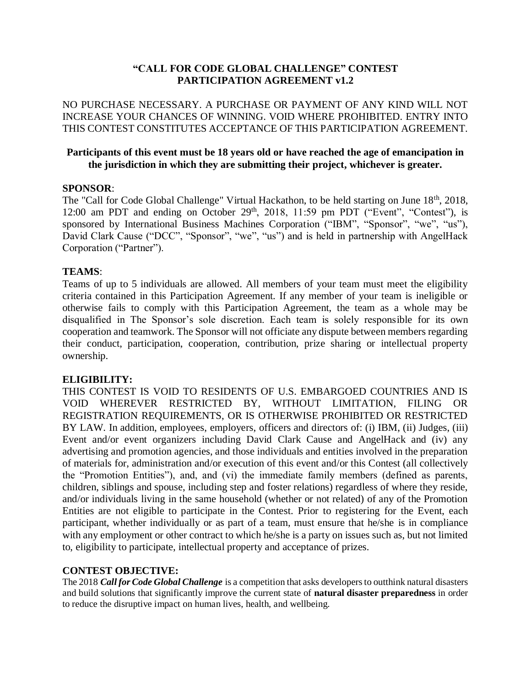### **"CALL FOR CODE GLOBAL CHALLENGE" CONTEST PARTICIPATION AGREEMENT v1.2**

NO PURCHASE NECESSARY. A PURCHASE OR PAYMENT OF ANY KIND WILL NOT INCREASE YOUR CHANCES OF WINNING. VOID WHERE PROHIBITED. ENTRY INTO THIS CONTEST CONSTITUTES ACCEPTANCE OF THIS PARTICIPATION AGREEMENT.

#### **Participants of this event must be 18 years old or have reached the age of emancipation in the jurisdiction in which they are submitting their project, whichever is greater.**

#### **SPONSOR**:

The "Call for Code Global Challenge" Virtual Hackathon, to be held starting on June 18<sup>th</sup>, 2018, 12:00 am PDT and ending on October  $29<sup>th</sup>$ ,  $2018$ ,  $11:59$  pm PDT ("Event", "Contest"), is sponsored by International Business Machines Corporation ("IBM", "Sponsor", "we", "us"), David Clark Cause ("DCC", "Sponsor", "we", "us") and is held in partnership with AngelHack Corporation ("Partner").

#### **TEAMS**:

Teams of up to 5 individuals are allowed. All members of your team must meet the eligibility criteria contained in this Participation Agreement. If any member of your team is ineligible or otherwise fails to comply with this Participation Agreement, the team as a whole may be disqualified in The Sponsor's sole discretion. Each team is solely responsible for its own cooperation and teamwork. The Sponsor will not officiate any dispute between members regarding their conduct, participation, cooperation, contribution, prize sharing or intellectual property ownership.

#### **ELIGIBILITY:**

THIS CONTEST IS VOID TO RESIDENTS OF U.S. EMBARGOED COUNTRIES AND IS VOID WHEREVER RESTRICTED BY, WITHOUT LIMITATION, FILING OR REGISTRATION REQUIREMENTS, OR IS OTHERWISE PROHIBITED OR RESTRICTED BY LAW. In addition, employees, employers, officers and directors of: (i) IBM, (ii) Judges, (iii) Event and/or event organizers including David Clark Cause and AngelHack and (iv) any advertising and promotion agencies, and those individuals and entities involved in the preparation of materials for, administration and/or execution of this event and/or this Contest (all collectively the "Promotion Entities"), and, and (vi) the immediate family members (defined as parents, children, siblings and spouse, including step and foster relations) regardless of where they reside, and/or individuals living in the same household (whether or not related) of any of the Promotion Entities are not eligible to participate in the Contest. Prior to registering for the Event, each participant, whether individually or as part of a team, must ensure that he/she is in compliance with any employment or other contract to which he/she is a party on issues such as, but not limited to, eligibility to participate, intellectual property and acceptance of prizes.

#### **CONTEST OBJECTIVE:**

The 2018 *Call for Code Global Challenge* is a competition that asks developers to outthink natural disasters and build solutions that significantly improve the current state of **natural disaster preparedness** in order to reduce the disruptive impact on human lives, health, and wellbeing.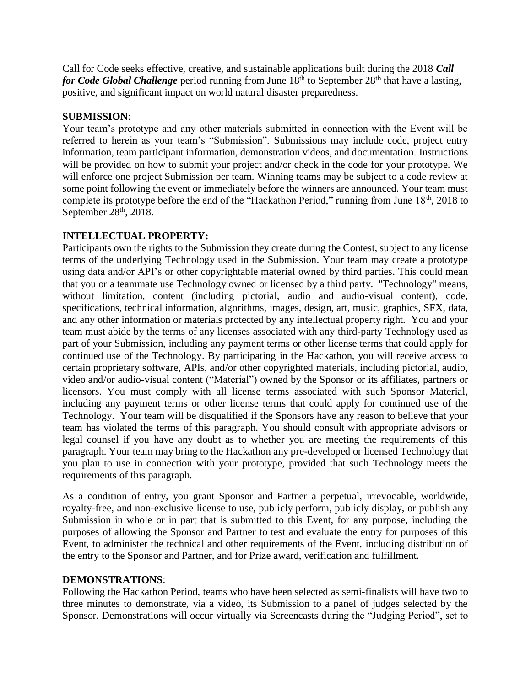Call for Code seeks effective, creative, and sustainable applications built during the 2018 *Call for Code Global Challenge* period running from June 18<sup>th</sup> to September 28<sup>th</sup> that have a lasting, positive, and significant impact on world natural disaster preparedness.

### **SUBMISSION**:

Your team's prototype and any other materials submitted in connection with the Event will be referred to herein as your team's "Submission". Submissions may include code, project entry information, team participant information, demonstration videos, and documentation. Instructions will be provided on how to submit your project and/or check in the code for your prototype. We will enforce one project Submission per team. Winning teams may be subject to a code review at some point following the event or immediately before the winners are announced. Your team must complete its prototype before the end of the "Hackathon Period," running from June 18<sup>th</sup>, 2018 to September  $28<sup>th</sup>$ , 2018.

### **INTELLECTUAL PROPERTY:**

Participants own the rights to the Submission they create during the Contest, subject to any license terms of the underlying Technology used in the Submission. Your team may create a prototype using data and/or API's or other copyrightable material owned by third parties. This could mean that you or a teammate use Technology owned or licensed by a third party. "Technology" means, without limitation, content (including pictorial, audio and audio-visual content), code, specifications, technical information, algorithms, images, design, art, music, graphics, SFX, data, and any other information or materials protected by any intellectual property right. You and your team must abide by the terms of any licenses associated with any third-party Technology used as part of your Submission, including any payment terms or other license terms that could apply for continued use of the Technology. By participating in the Hackathon, you will receive access to certain proprietary software, APIs, and/or other copyrighted materials, including pictorial, audio, video and/or audio-visual content ("Material") owned by the Sponsor or its affiliates, partners or licensors. You must comply with all license terms associated with such Sponsor Material, including any payment terms or other license terms that could apply for continued use of the Technology. Your team will be disqualified if the Sponsors have any reason to believe that your team has violated the terms of this paragraph. You should consult with appropriate advisors or legal counsel if you have any doubt as to whether you are meeting the requirements of this paragraph. Your team may bring to the Hackathon any pre-developed or licensed Technology that you plan to use in connection with your prototype, provided that such Technology meets the requirements of this paragraph.

As a condition of entry, you grant Sponsor and Partner a perpetual, irrevocable, worldwide, royalty-free, and non-exclusive license to use, publicly perform, publicly display, or publish any Submission in whole or in part that is submitted to this Event, for any purpose, including the purposes of allowing the Sponsor and Partner to test and evaluate the entry for purposes of this Event, to administer the technical and other requirements of the Event, including distribution of the entry to the Sponsor and Partner, and for Prize award, verification and fulfillment.

#### **DEMONSTRATIONS**:

Following the Hackathon Period, teams who have been selected as semi-finalists will have two to three minutes to demonstrate, via a video, its Submission to a panel of judges selected by the Sponsor. Demonstrations will occur virtually via Screencasts during the "Judging Period", set to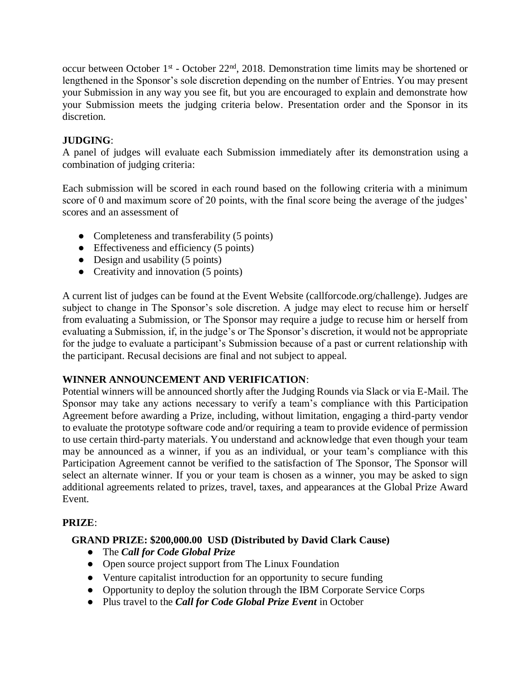occur between October 1<sup>st</sup> - October 22<sup>nd</sup>, 2018. Demonstration time limits may be shortened or lengthened in the Sponsor's sole discretion depending on the number of Entries. You may present your Submission in any way you see fit, but you are encouraged to explain and demonstrate how your Submission meets the judging criteria below. Presentation order and the Sponsor in its discretion.

## **JUDGING**:

A panel of judges will evaluate each Submission immediately after its demonstration using a combination of judging criteria:

Each submission will be scored in each round based on the following criteria with a minimum score of 0 and maximum score of 20 points, with the final score being the average of the judges' scores and an assessment of

- Completeness and transferability (5 points)
- $\bullet$  Effectiveness and efficiency (5 points)
- $\bullet$  Design and usability (5 points)
- Creativity and innovation (5 points)

A current list of judges can be found at the Event Website (callforcode.org/challenge). Judges are subject to change in The Sponsor's sole discretion. A judge may elect to recuse him or herself from evaluating a Submission, or The Sponsor may require a judge to recuse him or herself from evaluating a Submission, if, in the judge's or The Sponsor's discretion, it would not be appropriate for the judge to evaluate a participant's Submission because of a past or current relationship with the participant. Recusal decisions are final and not subject to appeal.

### **WINNER ANNOUNCEMENT AND VERIFICATION**:

Potential winners will be announced shortly after the Judging Rounds via Slack or via E-Mail. The Sponsor may take any actions necessary to verify a team's compliance with this Participation Agreement before awarding a Prize, including, without limitation, engaging a third-party vendor to evaluate the prototype software code and/or requiring a team to provide evidence of permission to use certain third-party materials. You understand and acknowledge that even though your team may be announced as a winner, if you as an individual, or your team's compliance with this Participation Agreement cannot be verified to the satisfaction of The Sponsor, The Sponsor will select an alternate winner. If you or your team is chosen as a winner, you may be asked to sign additional agreements related to prizes, travel, taxes, and appearances at the Global Prize Award Event.

### **PRIZE**:

### **GRAND PRIZE: \$200,000.00 USD (Distributed by David Clark Cause)**

- The *Call for Code Global Prize*
- Open source project support from The Linux Foundation
- Venture capitalist introduction for an opportunity to secure funding
- Opportunity to deploy the solution through the IBM Corporate Service Corps
- Plus travel to the *Call for Code Global Prize Event* in October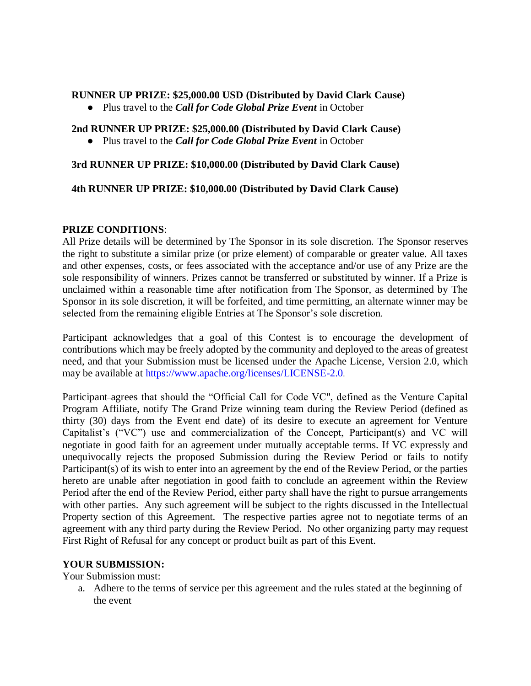#### **RUNNER UP PRIZE: \$25,000.00 USD (Distributed by David Clark Cause)**

● Plus travel to the *Call for Code Global Prize Event* in October

# **2nd RUNNER UP PRIZE: \$25,000.00 (Distributed by David Clark Cause)**

● Plus travel to the *Call for Code Global Prize Event* in October

### **3rd RUNNER UP PRIZE: \$10,000.00 (Distributed by David Clark Cause)**

### **4th RUNNER UP PRIZE: \$10,000.00 (Distributed by David Clark Cause)**

#### **PRIZE CONDITIONS**:

All Prize details will be determined by The Sponsor in its sole discretion. The Sponsor reserves the right to substitute a similar prize (or prize element) of comparable or greater value. All taxes and other expenses, costs, or fees associated with the acceptance and/or use of any Prize are the sole responsibility of winners. Prizes cannot be transferred or substituted by winner. If a Prize is unclaimed within a reasonable time after notification from The Sponsor, as determined by The Sponsor in its sole discretion, it will be forfeited, and time permitting, an alternate winner may be selected from the remaining eligible Entries at The Sponsor's sole discretion.

Participant acknowledges that a goal of this Contest is to encourage the development of contributions which may be freely adopted by the community and deployed to the areas of greatest need, and that your Submission must be licensed under the Apache License, Version 2.0, which may be available at<https://www.apache.org/licenses/LICENSE-2.0>.

Participant agrees that should the "Official Call for Code VC", defined as the Venture Capital Program Affiliate, notify The Grand Prize winning team during the Review Period (defined as thirty (30) days from the Event end date) of its desire to execute an agreement for Venture Capitalist's ("VC") use and commercialization of the Concept, Participant(s) and VC will negotiate in good faith for an agreement under mutually acceptable terms. If VC expressly and unequivocally rejects the proposed Submission during the Review Period or fails to notify Participant(s) of its wish to enter into an agreement by the end of the Review Period, or the parties hereto are unable after negotiation in good faith to conclude an agreement within the Review Period after the end of the Review Period, either party shall have the right to pursue arrangements with other parties. Any such agreement will be subject to the rights discussed in the Intellectual Property section of this Agreement. The respective parties agree not to negotiate terms of an agreement with any third party during the Review Period. No other organizing party may request First Right of Refusal for any concept or product built as part of this Event.

### **YOUR SUBMISSION:**

Your Submission must:

a. Adhere to the terms of service per this agreement and the rules stated at the beginning of the event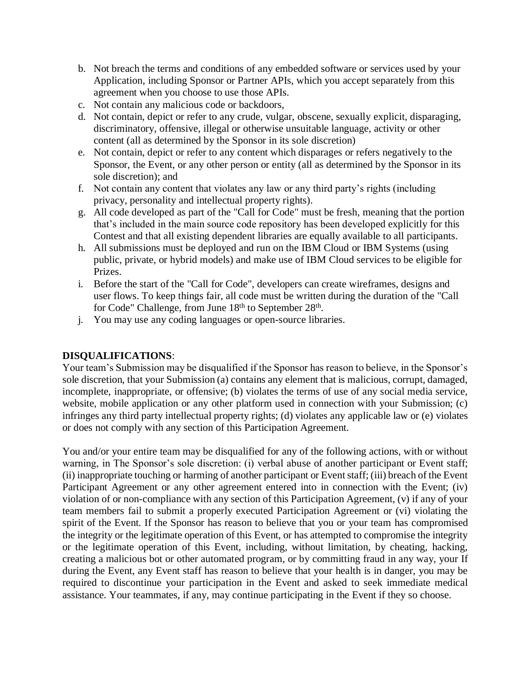- b. Not breach the terms and conditions of any embedded software or services used by your Application, including Sponsor or Partner APIs, which you accept separately from this agreement when you choose to use those APIs.
- c. Not contain any malicious code or backdoors,
- d. Not contain, depict or refer to any crude, vulgar, obscene, sexually explicit, disparaging, discriminatory, offensive, illegal or otherwise unsuitable language, activity or other content (all as determined by the Sponsor in its sole discretion)
- e. Not contain, depict or refer to any content which disparages or refers negatively to the Sponsor, the Event, or any other person or entity (all as determined by the Sponsor in its sole discretion); and
- f. Not contain any content that violates any law or any third party's rights (including privacy, personality and intellectual property rights).
- g. All code developed as part of the "Call for Code" must be fresh, meaning that the portion that's included in the main source code repository has been developed explicitly for this Contest and that all existing dependent libraries are equally available to all participants.
- h. All submissions must be deployed and run on the IBM Cloud or IBM Systems (using public, private, or hybrid models) and make use of IBM Cloud services to be eligible for Prizes.
- i. Before the start of the "Call for Code", developers can create wireframes, designs and user flows. To keep things fair, all code must be written during the duration of the "Call for Code" Challenge, from June 18<sup>th</sup> to September 28<sup>th</sup>.
- j. You may use any coding languages or open-source libraries.

### **DISQUALIFICATIONS**:

Your team's Submission may be disqualified if the Sponsor has reason to believe, in the Sponsor's sole discretion, that your Submission (a) contains any element that is malicious, corrupt, damaged, incomplete, inappropriate, or offensive; (b) violates the terms of use of any social media service, website, mobile application or any other platform used in connection with your Submission; (c) infringes any third party intellectual property rights; (d) violates any applicable law or (e) violates or does not comply with any section of this Participation Agreement.

You and/or your entire team may be disqualified for any of the following actions, with or without warning, in The Sponsor's sole discretion: (i) verbal abuse of another participant or Event staff; (ii) inappropriate touching or harming of another participant or Event staff; (iii) breach of the Event Participant Agreement or any other agreement entered into in connection with the Event; (iv) violation of or non-compliance with any section of this Participation Agreement, (v) if any of your team members fail to submit a properly executed Participation Agreement or (vi) violating the spirit of the Event. If the Sponsor has reason to believe that you or your team has compromised the integrity or the legitimate operation of this Event, or has attempted to compromise the integrity or the legitimate operation of this Event, including, without limitation, by cheating, hacking, creating a malicious bot or other automated program, or by committing fraud in any way, your If during the Event, any Event staff has reason to believe that your health is in danger, you may be required to discontinue your participation in the Event and asked to seek immediate medical assistance. Your teammates, if any, may continue participating in the Event if they so choose.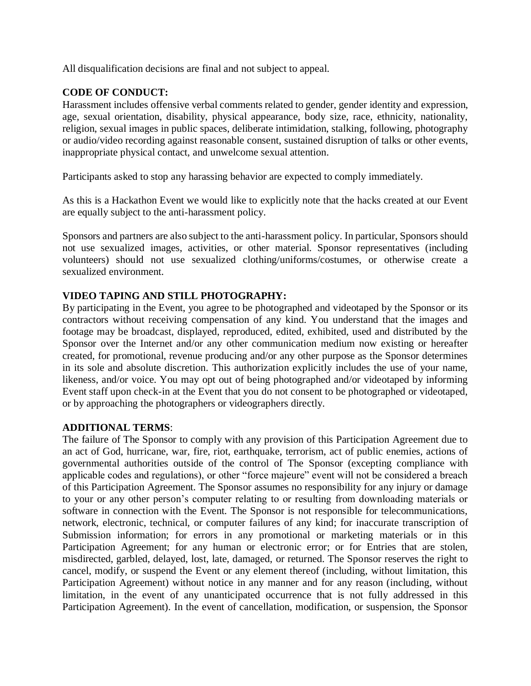All disqualification decisions are final and not subject to appeal.

### **CODE OF CONDUCT:**

Harassment includes offensive verbal comments related to gender, gender identity and expression, age, sexual orientation, disability, physical appearance, body size, race, ethnicity, nationality, religion, sexual images in public spaces, deliberate intimidation, stalking, following, photography or audio/video recording against reasonable consent, sustained disruption of talks or other events, inappropriate physical contact, and unwelcome sexual attention.

Participants asked to stop any harassing behavior are expected to comply immediately.

As this is a Hackathon Event we would like to explicitly note that the hacks created at our Event are equally subject to the anti-harassment policy.

Sponsors and partners are also subject to the anti-harassment policy. In particular, Sponsors should not use sexualized images, activities, or other material. Sponsor representatives (including volunteers) should not use sexualized clothing/uniforms/costumes, or otherwise create a sexualized environment.

### **VIDEO TAPING AND STILL PHOTOGRAPHY:**

By participating in the Event, you agree to be photographed and videotaped by the Sponsor or its contractors without receiving compensation of any kind. You understand that the images and footage may be broadcast, displayed, reproduced, edited, exhibited, used and distributed by the Sponsor over the Internet and/or any other communication medium now existing or hereafter created, for promotional, revenue producing and/or any other purpose as the Sponsor determines in its sole and absolute discretion. This authorization explicitly includes the use of your name, likeness, and/or voice. You may opt out of being photographed and/or videotaped by informing Event staff upon check-in at the Event that you do not consent to be photographed or videotaped, or by approaching the photographers or videographers directly.

### **ADDITIONAL TERMS**:

The failure of The Sponsor to comply with any provision of this Participation Agreement due to an act of God, hurricane, war, fire, riot, earthquake, terrorism, act of public enemies, actions of governmental authorities outside of the control of The Sponsor (excepting compliance with applicable codes and regulations), or other "force majeure" event will not be considered a breach of this Participation Agreement. The Sponsor assumes no responsibility for any injury or damage to your or any other person's computer relating to or resulting from downloading materials or software in connection with the Event. The Sponsor is not responsible for telecommunications, network, electronic, technical, or computer failures of any kind; for inaccurate transcription of Submission information; for errors in any promotional or marketing materials or in this Participation Agreement; for any human or electronic error; or for Entries that are stolen, misdirected, garbled, delayed, lost, late, damaged, or returned. The Sponsor reserves the right to cancel, modify, or suspend the Event or any element thereof (including, without limitation, this Participation Agreement) without notice in any manner and for any reason (including, without limitation, in the event of any unanticipated occurrence that is not fully addressed in this Participation Agreement). In the event of cancellation, modification, or suspension, the Sponsor